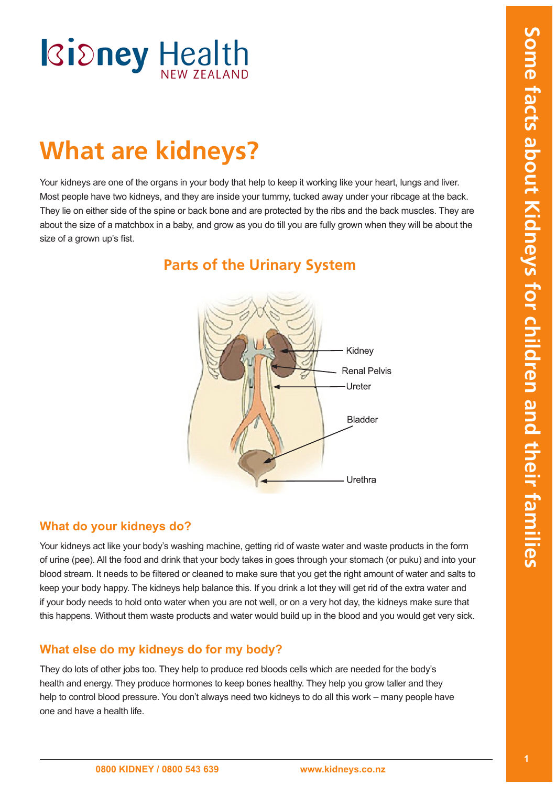# **What are kidneys?**

Your kidneys are one of the organs in your body that help to keep it working like your heart, lungs and liver. Most people have two kidneys, and they are inside your tummy, tucked away under your ribcage at the back. They lie on either side of the spine or back bone and are protected by the ribs and the back muscles. They are about the size of a matchbox in a baby, and grow as you do till you are fully grown when they will be about the size of a grown up's fist.



**Parts of the Urinary System**

### **What do your kidneys do?**

Your kidneys act like your body's washing machine, getting rid of waste water and waste products in the form of urine (pee). All the food and drink that your body takes in goes through your stomach (or puku) and into your blood stream. It needs to be filtered or cleaned to make sure that you get the right amount of water and salts to keep your body happy. The kidneys help balance this. If you drink a lot they will get rid of the extra water and if your body needs to hold onto water when you are not well, or on a very hot day, the kidneys make sure that this happens. Without them waste products and water would build up in the blood and you would get very sick.

# **What else do my kidneys do for my body?**

They do lots of other jobs too. They help to produce red bloods cells which are needed for the body's health and energy. They produce hormones to keep bones healthy. They help you grow taller and they help to control blood pressure. You don't always need two kidneys to do all this work – many people have one and have a health life.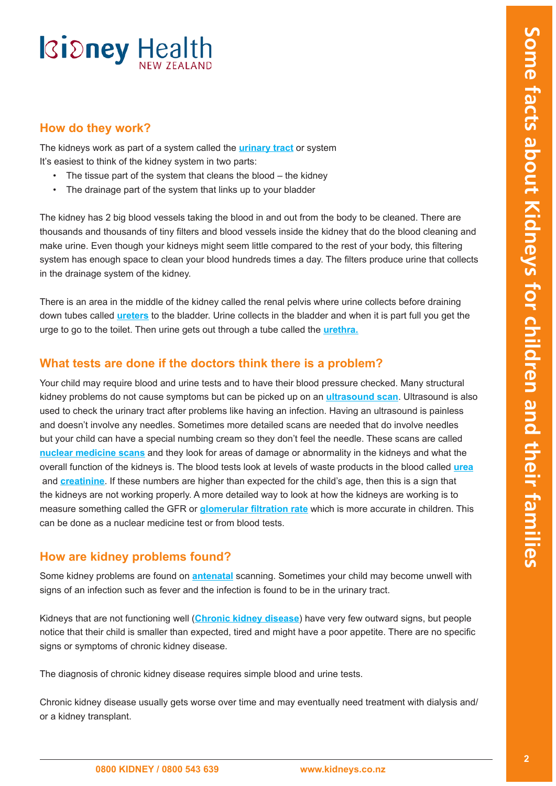### **How do they work?**

The kidneys work as part of a system called the **[urinary tract](#page-4-0)** or system It's easiest to think of the kidney system in two parts:

- The tissue part of the system that cleans the blood  $-$  the kidney
- The drainage part of the system that links up to your bladder

The kidney has 2 big blood vessels taking the blood in and out from the body to be cleaned. There are thousands and thousands of tiny filters and blood vessels inside the kidney that do the blood cleaning and make urine. Even though your kidneys might seem little compared to the rest of your body, this filtering system has enough space to clean your blood hundreds times a day. The filters produce urine that collects in the drainage system of the kidney.

There is an area in the middle of the kidney called the renal pelvis where urine collects before draining down tubes called **[ureters](#page-4-0)** to the bladder. Urine collects in the bladder and when it is part full you get the urge to go to the toilet. Then urine gets out through a tube called the **[urethra.](#page-4-0)**

### **What tests are done if the doctors think there is a problem?**

Your child may require blood and urine tests and to have their blood pressure checked. Many structural kidney problems do not cause symptoms but can be picked up on an **[ultrasound scan](#page-4-0)**. Ultrasound is also used to check the urinary tract after problems like having an infection. Having an ultrasound is painless and doesn't involve any needles. Sometimes more detailed scans are needed that do involve needles but your child can have a special numbing cream so they don't feel the needle. These scans are called **[nuclear medicine scans](#page-4-0)** and they look for areas of damage or abnormality in the kidneys and what the overall function of the kidneys is. The blood tests look at levels of waste products in the blood called **[urea](#page-4-0)** and **[creatinine](#page-4-0)**. If these numbers are higher than expected for the child's age, then this is a sign that the kidneys are not working properly. A more detailed way to look at how the kidneys are working is to measure something called the GFR or **[glomerular filtration ra](#page-4-0)te** which is more accurate in children. This can be done as a nuclear medicine test or from blood tests.

## **How are kidney problems found?**

Some kidney problems are found on **[antenatal](#page-4-0)** scanning. Sometimes your child may become unwell with signs of an infection such as fever and the infection is found to be in the urinary tract.

Kidneys that are not functioning well (**[Chronic kidney disease](#page-4-0)**) have very few outward signs, but people notice that their child is smaller than expected, tired and might have a poor appetite. There are no specific signs or symptoms of chronic kidney disease.

The diagnosis of chronic kidney disease requires simple blood and urine tests.

Chronic kidney disease usually gets worse over time and may eventually need treatment with dialysis and/ or a kidney transplant.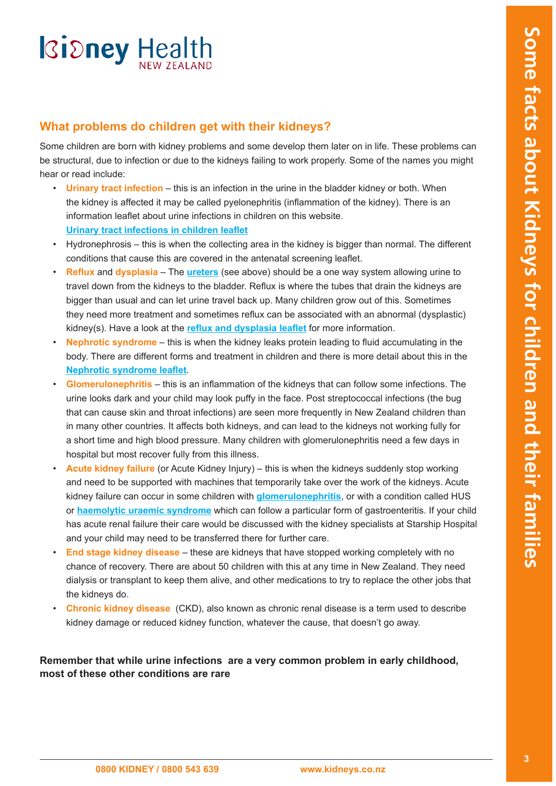# **What problems do children get with their kidneys?**

Some children are born with kidney problems and some develop them later on in life. These problems can be structural, due to infection or due to the kidneys failing to work properly. Some of the names you might hear or read include:

- • **[Urinary tract infection](#page-4-1)** this is an infection in the urine in the bladder kidney or both. When the kidney is affected it may be called pyelonephritis (inflammation of the kidney). There is an information leaflet about urine infections in children on this website. **[Urinary tract infections in children leaflet](http://www.kidneys.co.nz/resources/file/Urinary%20Tract%20infections%20in%20children_03.pdf)**
- Hydronephrosis this is when the collecting area in the kidney is bigger than normal. The different conditions that cause this are covered in the antenatal screening leaflet.
- • **Reflux** and **[dysplasia](#page-4-1)** The **[ureter](#page-4-0)s** (see above) should be a one way system allowing urine to travel down from the kidneys to the bladder. Reflux is where the tubes that drain the kidneys are bigger than usual and can let urine travel back up. Many children grow out of this. Sometimes they need more treatment and sometimes reflux can be associated with an abnormal (dysplastic) kidney(s). Have a look at the **[reflux and dysplasia leafle](http://www.kidneys.co.nz/resources/file/Refluxobstruction%20and%20dysplastic%20kidneys_03.pdf)t** for more information.
- • **Nephrotic syndrome** this is when the kidney leaks protein leading to fluid accumulating in the body. There are different forms and treatment in children and there is more detail about this in the **[Nephrotic syndrome leafle](http://www.kidneys.co.nz/resources/file/Nephrotic%20syndrome%20in%20children_03.pdf)t**.
- • **Glomerulonephritis** this is an inflammation of the kidneys that can follow some infections. The urine looks dark and your child may look puffy in the face. Post streptococcal infections (the bug that can cause skin and throat infections) are seen more frequently in New Zealand children than in many other countries. It affects both kidneys, and can lead to the kidneys not working fully for a short time and high blood pressure. Many children with glomerulonephritis need a few days in hospital but most recover fully from this illness.
- • **Acute kidney failure** (or Acute Kidney Injury) this is when the kidneys suddenly stop working and need to be supported with machines that temporarily take over the work of the kidneys. Acute kidney failure can occur in some children with **[glomerulonephriti](#page-4-0)s**, or with a condition called HUS or **[haemolytic uraemic syndrom](#page-4-0)e** which can follow a particular form of gastroenteritis. If your child has acute renal failure their care would be discussed with the kidney specialists at Starship Hospital and your child may need to be transferred there for further care.
- **End stage kidney disease** these are kidneys that have stopped working completely with no chance of recovery. There are about 50 children with this at any time in New Zealand. They need dialysis or transplant to keep them alive, and other medications to try to replace the other jobs that the kidneys do.
- **Chronic kidney disease** (CKD), also known as chronic renal disease is a term used to describe kidney damage or reduced kidney function, whatever the cause, that doesn't go away.

**Remember that while urine infections are a very common problem in early childhood, most of these other conditions are rare**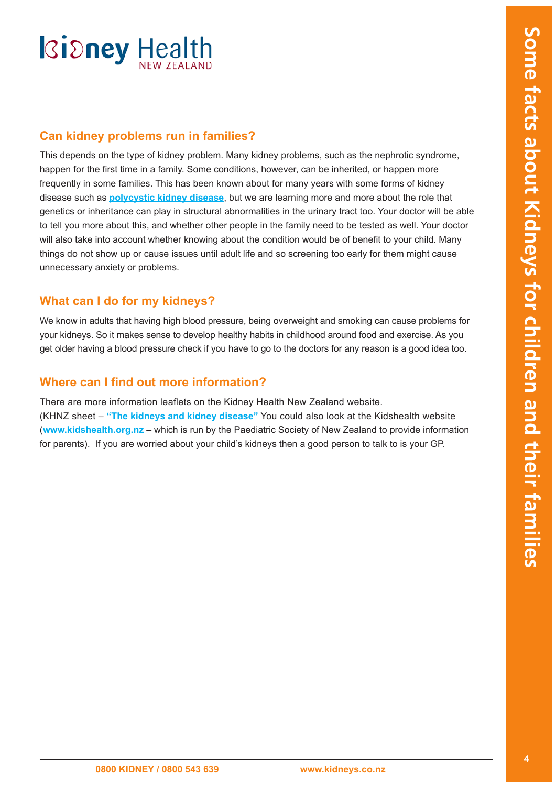### **Can kidney problems run in families?**

This depends on the type of kidney problem. Many kidney problems, such as the nephrotic syndrome, happen for the first time in a family. Some conditions, however, can be inherited, or happen more frequently in some families. This has been known about for many years with some forms of kidney disease such as **[polycystic kidney disease](#page-4-0)**, but we are learning more and more about the role that genetics or inheritance can play in structural abnormalities in the urinary tract too. Your doctor will be able to tell you more about this, and whether other people in the family need to be tested as well. Your doctor will also take into account whether knowing about the condition would be of benefit to your child. Many things do not show up or cause issues until adult life and so screening too early for them might cause unnecessary anxiety or problems.

## **What can I do for my kidneys?**

We know in adults that having high blood pressure, being overweight and smoking can cause problems for your kidneys. So it makes sense to develop healthy habits in childhood around food and exercise. As you get older having a blood pressure check if you have to go to the doctors for any reason is a good idea too.

### **Where can I find out more information?**

There are more information leaflets on the Kidney Health New Zealand website. (KHNZ sheet – **["The kidneys and kidney disease"](http://www.kidneys.co.nz/Resources/)** You could also look at the Kidshealth website (**<www.kidshealth.org.nz>** – which is run by the Paediatric Society of New Zealand to provide information for parents). If you are worried about your child's kidneys then a good person to talk to is your GP.